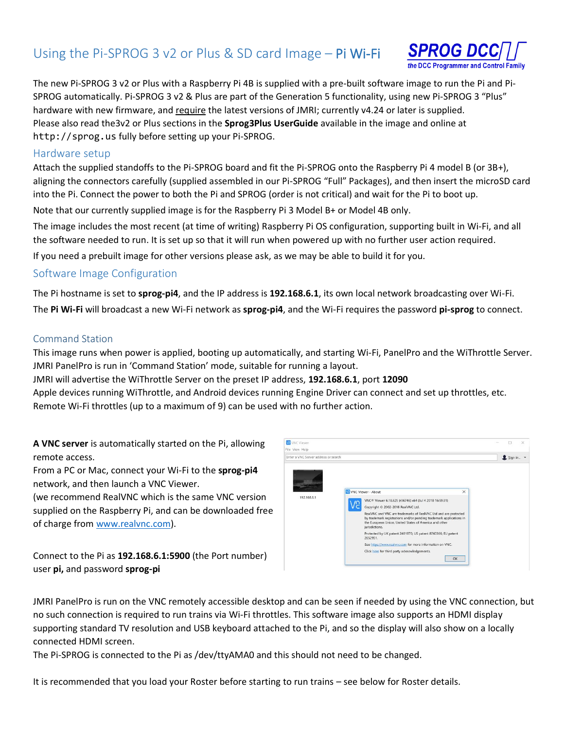# Using the Pi-SPROG 3 v2 or Plus & SD card Image – Pi Wi-Fi



The new Pi-SPROG 3 v2 or Plus with a Raspberry Pi 4B is supplied with a pre-built software image to run the Pi and Pi-SPROG automatically. Pi-SPROG 3 v2 & Plus are part of the Generation 5 functionality, using new Pi-SPROG 3 "Plus" hardware with new firmware, and require the latest versions of JMRI; currently v4.24 or later is supplied. Please also read the3v2 or Plus sections in the **Sprog3Plus UserGuide** available in the image and online at http://sprog.us fully before setting up your Pi-SPROG.

#### Hardware setup

Attach the supplied standoffs to the Pi-SPROG board and fit the Pi-SPROG onto the Raspberry Pi 4 model B (or 3B+), aligning the connectors carefully (supplied assembled in our Pi-SPROG "Full" Packages), and then insert the microSD card into the Pi. Connect the power to both the Pi and SPROG (order is not critical) and wait for the Pi to boot up.

Note that our currently supplied image is for the Raspberry Pi 3 Model B+ or Model 4B only.

The image includes the most recent (at time of writing) Raspberry Pi OS configuration, supporting built in Wi-Fi, and all the software needed to run. It is set up so that it will run when powered up with no further user action required.

If you need a prebuilt image for other versions please ask, as we may be able to build it for you.

### Software Image Configuration

The Pi hostname is set to **sprog-pi4**, and the IP address is **192.168.6.1**, its own local network broadcasting over Wi-Fi. The **Pi Wi-Fi** will broadcast a new Wi-Fi network as **sprog-pi4**, and the Wi-Fi requires the password **pi-sprog** to connect.

#### Command Station

This image runs when power is applied, booting up automatically, and starting Wi-Fi, PanelPro and the WiThrottle Server. JMRI PanelPro is run in 'Command Station' mode, suitable for running a layout.

**VE** VNC Viewe

JMRI will advertise the WiThrottle Server on the preset IP address, **192.168.6.1**, port **12090**

Apple devices running WiThrottle, and Android devices running Engine Driver can connect and set up throttles, etc. Remote Wi-Fi throttles (up to a maximum of 9) can be used with no further action.

**A VNC server** is automatically started on the Pi, allowing remote access.

From a PC or Mac, connect your Wi-Fi to the **sprog-pi4** network, and then launch a VNC Viewer.

(we recommend RealVNC which is the same VNC version supplied on the Raspberry Pi, and can be downloaded free of charge from [www.realvnc.com\)](http://www.realvnc.com/).

File View Help Sign in... VA VNC Viewer - About  $\times$ 192.168.6.1 VNC® Viewer 6.18.625 (r36746) x64 (Jul 4 2018 16:59:31) Copyright © 2002-2018 RealVNC Ltd. Copyright & 2002-2018 NearlyNC Ltd.<br>RealVNC Ltd and are protected<br>by trademark registrations and/or pending trademark applications in<br>the European Union, United States of America and other<br>iurisdictions. ,<br>Protected by UK patent 2481870; US patent 8760366; EU patent<br>2652951. nc.com for more information on VNC Click here for third party acknowledgements OK

 $\Box$ 

Connect to the Pi as **192.168.6.1:5900** (the Port number) user **pi,** and password **sprog-pi**

JMRI PanelPro is run on the VNC remotely accessible desktop and can be seen if needed by using the VNC connection, but no such connection is required to run trains via Wi-Fi throttles. This software image also supports an HDMI display supporting standard TV resolution and USB keyboard attached to the Pi, and so the display will also show on a locally connected HDMI screen.

The Pi-SPROG is connected to the Pi as /dev/ttyAMA0 and this should not need to be changed.

It is recommended that you load your Roster before starting to run trains – see below for Roster details.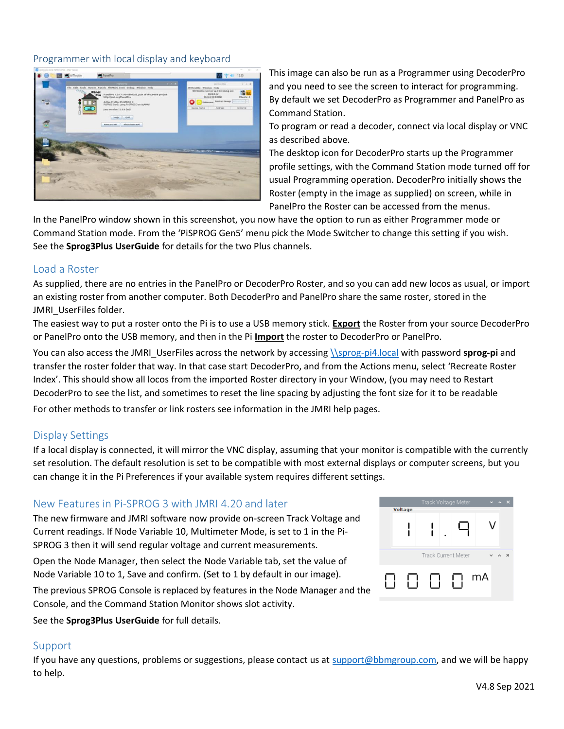#### Programmer with local display and keyboard



This image can also be run as a Programmer using DecoderPro and you need to see the screen to interact for programming. By default we set DecoderPro as Programmer and PanelPro as Command Station.

To program or read a decoder, connect via local display or VNC as described above.

The desktop icon for DecoderPro starts up the Programmer profile settings, with the Command Station mode turned off for usual Programming operation. DecoderPro initially shows the Roster (empty in the image as supplied) on screen, while in PanelPro the Roster can be accessed from the menus.

In the PanelPro window shown in this screenshot, you now have the option to run as either Programmer mode or Command Station mode. From the 'PiSPROG Gen5' menu pick the Mode Switcher to change this setting if you wish. See the **Sprog3Plus UserGuide** for details for the two Plus channels.

### Load a Roster

As supplied, there are no entries in the PanelPro or DecoderPro Roster, and so you can add new locos as usual, or import an existing roster from another computer. Both DecoderPro and PanelPro share the same roster, stored in the JMRI UserFiles folder.

The easiest way to put a roster onto the Pi is to use a USB memory stick. **Export** the Roster from your source DecoderPro or PanelPro onto the USB memory, and then in the Pi **Import** the roster to DecoderPro or PanelPro.

You can also access the JMRI\_UserFiles across the network by accessin[g \\sprog-pi4.local](file://///sprog-pi4.local) with password **sprog-pi** and transfer the roster folder that way. In that case start DecoderPro, and from the Actions menu, select 'Recreate Roster Index'. This should show all locos from the imported Roster directory in your Window, (you may need to Restart DecoderPro to see the list, and sometimes to reset the line spacing by adjusting the font size for it to be readable For other methods to transfer or link rosters see information in the JMRI help pages.

## Display Settings

If a local display is connected, it will mirror the VNC display, assuming that your monitor is compatible with the currently set resolution. The default resolution is set to be compatible with most external displays or computer screens, but you can change it in the Pi Preferences if your available system requires different settings.

### New Features in Pi-SPROG 3 with JMRI 4.20 and later

The new firmware and JMRI software now provide on-screen Track Voltage and Current readings. If Node Variable 10, Multimeter Mode, is set to 1 in the Pi-SPROG 3 then it will send regular voltage and current measurements.

Open the Node Manager, then select the Node Variable tab, set the value of Node Variable 10 to 1, Save and confirm. (Set to 1 by default in our image).

The previous SPROG Console is replaced by features in the Node Manager and the Console, and the Command Station Monitor shows slot activity.

See the **Sprog3Plus UserGuide** for full details.

### Support

If you have any questions, problems or suggestions, please contact us a[t support@bbmgroup.com,](mailto:support@bbmgroup.com) and we will be happy to help.

|                | Track Voltage Meter        | ×  |
|----------------|----------------------------|----|
| <b>Voltage</b> |                            |    |
|                | <b>Track Current Meter</b> |    |
|                |                            | mA |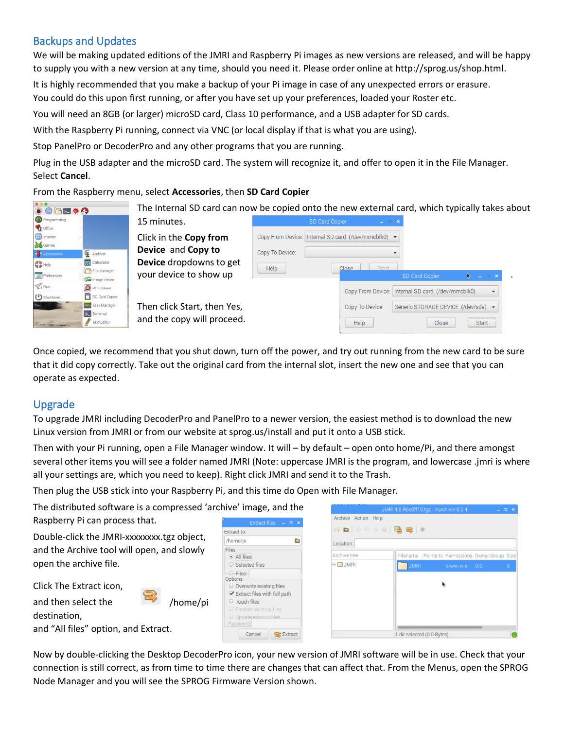# Backups and Updates

We will be making updated editions of the JMRI and Raspberry Pi images as new versions are released, and will be happy to supply you with a new version at any time, should you need it. Please order online at http://sprog.us/shop.html.

It is highly recommended that you make a backup of your Pi image in case of any unexpected errors or erasure.

You could do this upon first running, or after you have set up your preferences, loaded your Roster etc.

You will need an 8GB (or larger) microSD card, Class 10 performance, and a USB adapter for SD cards.

With the Raspberry Pi running, connect via VNC (or local display if that is what you are using).

Stop PanelPro or DecoderPro and any other programs that you are running.

Plug in the USB adapter and the microSD card. The system will recognize it, and offer to open it in the File Manager. Select **Cancel**.

From the Raspberry menu, select **Accessories**, then **SD Card Copier**

| ●●●图 * ●                                                               | The Internal SD card can now be copied onto the new external card, which typically takes about |                 |                                                     |                                                   |        |  |
|------------------------------------------------------------------------|------------------------------------------------------------------------------------------------|-----------------|-----------------------------------------------------|---------------------------------------------------|--------|--|
| Programming<br>office                                                  | 15 minutes.                                                                                    |                 | SD Card Copier<br>$  \times$                        |                                                   |        |  |
| the Internet<br><b>Bo</b> Games                                        | Click in the Copy from                                                                         |                 | Copy From Device: Internal SD card (/dev/mmcblk0) - |                                                   |        |  |
| Accessorie<br>Archiver                                                 | Device and Copy to                                                                             | Copy To Device: |                                                     |                                                   |        |  |
| calculator<br>$\bigoplus$ Help                                         | Device dropdowns to get                                                                        | Help            | Start<br>Close                                      |                                                   |        |  |
| File Manager<br>$\equiv$ Preferences<br>Image Viewer                   | your device to show up                                                                         |                 |                                                     | <b>SD Card Copier</b>                             | $\Box$ |  |
| $\mathcal Q$ Run.<br><b>O</b> PDF Viewer<br>SD Card Copier<br>Shutdown |                                                                                                |                 |                                                     | Copy From Device: Internal SD card (/dev/mmcblk0) |        |  |
| Task Manager                                                           | Then click Start, then Yes,                                                                    |                 | Copy To Device:                                     | Generic STORAGE DEVICE (/dev/sda) -               |        |  |
| > Terminal<br>Text Editor                                              | and the copy will proceed.                                                                     |                 | Help                                                | Close                                             | Start  |  |

Once copied, we recommend that you shut down, turn off the power, and try out running from the new card to be sure that it did copy correctly. Take out the original card from the internal slot, insert the new one and see that you can operate as expected.

# Upgrade

To upgrade JMRI including DecoderPro and PanelPro to a newer version, the easiest method is to download the new Linux version from JMRI or from our website at sprog.us/install and put it onto a USB stick.

Then with your Pi running, open a File Manager window. It will – by default – open onto home/Pi, and there amongst several other items you will see a folder named JMRI (Note: uppercase JMRI is the program, and lowercase .jmri is where all your settings are, which you need to keep). Right click JMRI and send it to the Trash.

i.

Then plug the USB stick into your Raspberry Pi, and this time do Open with File Manager.

Extract to: /home/ni

Files  $\odot$  All files ○ Selected files

The distributed software is a compressed 'archive' image, and the Raspberry Pi can process that.

Double-click the JMRI-xxxxxxxx.tgz object, and the Archive tool will open, and slowly open the archive file.



|                        | JMRI.4.8.Rbe0ff15.tgz - Xarchiver 0.5.4 |                |                                        | $\square$ $\times$ |
|------------------------|-----------------------------------------|----------------|----------------------------------------|--------------------|
| Archive Action Help    |                                         |                |                                        |                    |
| P B & & +> @   B &   0 |                                         |                |                                        |                    |
| Location:              |                                         |                |                                        |                    |
| Archive tree           | Filename                                |                | Points to Permissions Owner/Group Size |                    |
| ⊞ <b>D</b> JMRI        | <b>JMRI</b>                             | drwxr-xr-x 0/0 |                                        | $\overline{0}$     |
|                        |                                         |                |                                        |                    |
|                        | 1 dir selected (0.0 Bytes)              |                |                                        |                    |

Now by double-clicking the Desktop DecoderPro icon, your new version of JMRI software will be in use. Check that your connection is still correct, as from time to time there are changes that can affect that. From the Menus, open the SPROG Node Manager and you will see the SPROG Firmware Version shown.